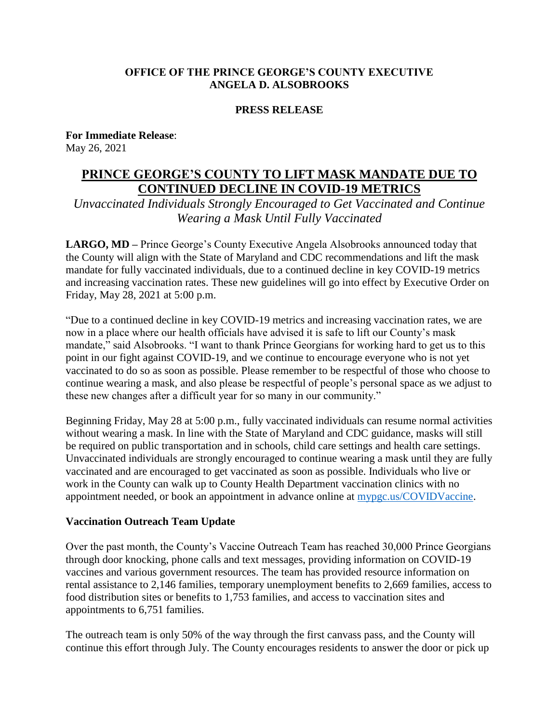### **OFFICE OF THE PRINCE GEORGE'S COUNTY EXECUTIVE ANGELA D. ALSOBROOKS**

#### **PRESS RELEASE**

**For Immediate Release**: May 26, 2021

# **PRINCE GEORGE'S COUNTY TO LIFT MASK MANDATE DUE TO CONTINUED DECLINE IN COVID-19 METRICS**

*Unvaccinated Individuals Strongly Encouraged to Get Vaccinated and Continue Wearing a Mask Until Fully Vaccinated*

**LARGO, MD –** Prince George's County Executive Angela Alsobrooks announced today that the County will align with the State of Maryland and CDC recommendations and lift the mask mandate for fully vaccinated individuals, due to a continued decline in key COVID-19 metrics and increasing vaccination rates. These new guidelines will go into effect by Executive Order on Friday, May 28, 2021 at 5:00 p.m.

"Due to a continued decline in key COVID-19 metrics and increasing vaccination rates, we are now in a place where our health officials have advised it is safe to lift our County's mask mandate," said Alsobrooks. "I want to thank Prince Georgians for working hard to get us to this point in our fight against COVID-19, and we continue to encourage everyone who is not yet vaccinated to do so as soon as possible. Please remember to be respectful of those who choose to continue wearing a mask, and also please be respectful of people's personal space as we adjust to these new changes after a difficult year for so many in our community."

Beginning Friday, May 28 at 5:00 p.m., fully vaccinated individuals can resume normal activities without wearing a mask. In line with the State of Maryland and CDC guidance, masks will still be required on public transportation and in schools, child care settings and health care settings. Unvaccinated individuals are strongly encouraged to continue wearing a mask until they are fully vaccinated and are encouraged to get vaccinated as soon as possible. Individuals who live or work in the County can walk up to County Health Department vaccination clinics with no appointment needed, or book an appointment in advance online at [mypgc.us/COVIDVaccine.](https://www.princegeorgescountymd.gov/3730/COVID-19-Vaccination)

#### **Vaccination Outreach Team Update**

Over the past month, the County's Vaccine Outreach Team has reached 30,000 Prince Georgians through door knocking, phone calls and text messages, providing information on COVID-19 vaccines and various government resources. The team has provided resource information on rental assistance to 2,146 families, temporary unemployment benefits to 2,669 families, access to food distribution sites or benefits to 1,753 families, and access to vaccination sites and appointments to 6,751 families.

The outreach team is only 50% of the way through the first canvass pass, and the County will continue this effort through July. The County encourages residents to answer the door or pick up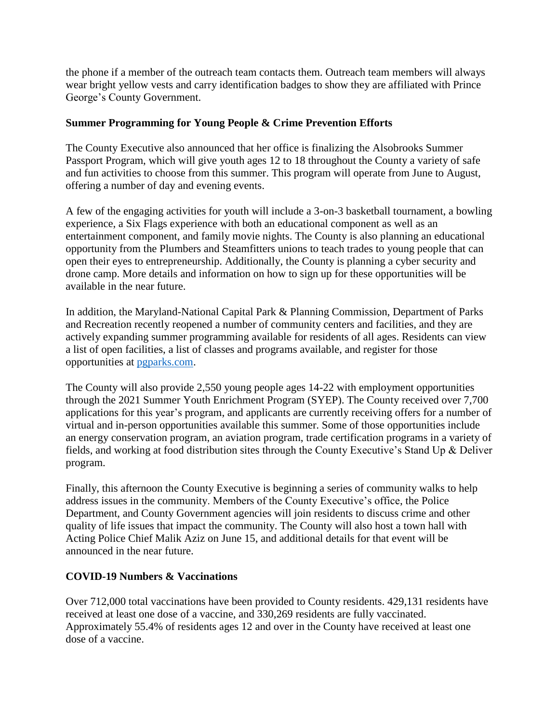the phone if a member of the outreach team contacts them. Outreach team members will always wear bright yellow vests and carry identification badges to show they are affiliated with Prince George's County Government.

## **Summer Programming for Young People & Crime Prevention Efforts**

The County Executive also announced that her office is finalizing the Alsobrooks Summer Passport Program, which will give youth ages 12 to 18 throughout the County a variety of safe and fun activities to choose from this summer. This program will operate from June to August, offering a number of day and evening events.

A few of the engaging activities for youth will include a 3-on-3 basketball tournament, a bowling experience, a Six Flags experience with both an educational component as well as an entertainment component, and family movie nights. The County is also planning an educational opportunity from the Plumbers and Steamfitters unions to teach trades to young people that can open their eyes to entrepreneurship. Additionally, the County is planning a cyber security and drone camp. More details and information on how to sign up for these opportunities will be available in the near future.

In addition, the Maryland-National Capital Park & Planning Commission, Department of Parks and Recreation recently reopened a number of community centers and facilities, and they are actively expanding summer programming available for residents of all ages. Residents can view a list of open facilities, a list of classes and programs available, and register for those opportunities at [pgparks.com.](http://pgparks.com/185/Parks-Recreation)

The County will also provide 2,550 young people ages 14-22 with employment opportunities through the 2021 Summer Youth Enrichment Program (SYEP). The County received over 7,700 applications for this year's program, and applicants are currently receiving offers for a number of virtual and in-person opportunities available this summer. Some of those opportunities include an energy conservation program, an aviation program, trade certification programs in a variety of fields, and working at food distribution sites through the County Executive's Stand Up & Deliver program.

Finally, this afternoon the County Executive is beginning a series of community walks to help address issues in the community. Members of the County Executive's office, the Police Department, and County Government agencies will join residents to discuss crime and other quality of life issues that impact the community. The County will also host a town hall with Acting Police Chief Malik Aziz on June 15, and additional details for that event will be announced in the near future.

### **COVID-19 Numbers & Vaccinations**

Over 712,000 total vaccinations have been provided to County residents. 429,131 residents have received at least one dose of a vaccine, and 330,269 residents are fully vaccinated. Approximately 55.4% of residents ages 12 and over in the County have received at least one dose of a vaccine.